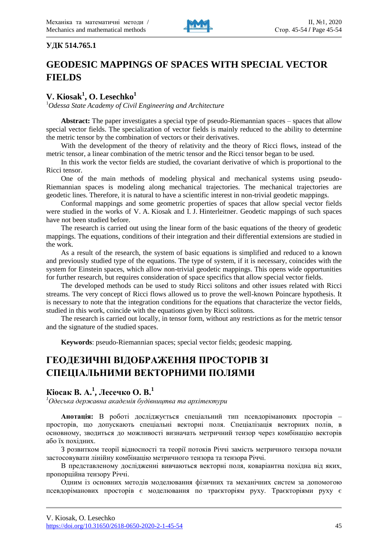

#### **УДК 514.765.1**

# **GEODESIC MAPPINGS OF SPACES WITH SPECIAL VECTOR FIELDS**

# **V. Kiosak 1 , O. Lesechko<sup>1</sup>**

<sup>1</sup>*Odessa State Academy of Civil Engineering and Architecture*

**Abstract:** The paper investigates a special type of pseudo-Riemannian spaces – spaces that allow special vector fields. The specialization of vector fields is mainly reduced to the ability to determine the metric tensor by the combination of vectors or their derivatives.

With the development of the theory of relativity and the theory of Ricci flows, instead of the metric tensor, a linear combination of the metric tensor and the Ricci tensor began to be used.

In this work the vector fields are studied, the covariant derivative of which is proportional to the Ricci tensor.

One of the main methods of modeling physical and mechanical systems using pseudo-Riemannian spaces is modeling along mechanical trajectories. The mechanical trajectories are geodetic lines. Therefore, it is natural to have a scientific interest in non-trivial geodetic mappings.

Conformal mappings and some geometric properties of spaces that allow special vector fields were studied in the works of V. A. Kiosak and I. J. Hinterleitner. Geodetic mappings of such spaces have not been studied before.

The research is carried out using the linear form of the basic equations of the theory of geodetic mappings. The equations, conditions of their integration and their differential extensions are studied in the work.

As a result of the research, the system of basic equations is simplified and reduced to a known and previously studied type of the equations. The type of system, if it is necessary, coincides with the system for Einstein spaces, which allow non-trivial geodetic mappings. This opens wide opportunities for further research, but requires consideration of space specifics that allow special vector fields.

The developed methods can be used to study Ricci solitons and other issues related with Ricci streams. The very concept of Ricci flows allowed us to prove the well-known Poincare hypothesis. It is necessary to note that the integration conditions for the equations that characterize the vector fields, studied in this work, coincide with the equations given by Ricci solitons.

The research is carried out locally, in tensor form, without any restrictions as for the metric tensor and the signature of the studied spaces.

**Keywords**: pseudo-Riemannian spaces; special vector fields; geodesic mapping.

# **ГЕОДЕЗИЧНІ ВІДОБРАЖЕННЯ ПРОСТОРІВ ЗІ СПЕЦІАЛЬНИМИ ВЕКТОРНИМИ ПОЛЯМИ**

# **Кіосак В. А.<sup>1</sup> , Лесечко О. В.<sup>1</sup>**

*<sup>1</sup>Одеська державна академія будівництва та архітектури*

**Анотація:** В роботі досліджується спеціальний тип псевдоріманових просторів – просторів, що допускають спеціальні векторні поля. Спеціалізація векторних полів, в основному, зводиться до можливості визначать метричний тензор через комбінацію векторів або їх похідних.

З розвитком теорії відносності та теорії потоків Річчі замість метричного тензора почали застосовувати лінійну комбінацію метричного тензора та тензора Річчі.

В представленому дослідженні вивчаються векторні поля, коваріантна похідна від яких, пропорційна тензору Річчі.

Одним із основних методів моделювання фізичних та механічних систем за допомогою псевдоріманових просторів є моделювання по траєкторіям руху. Траєкторіями руху є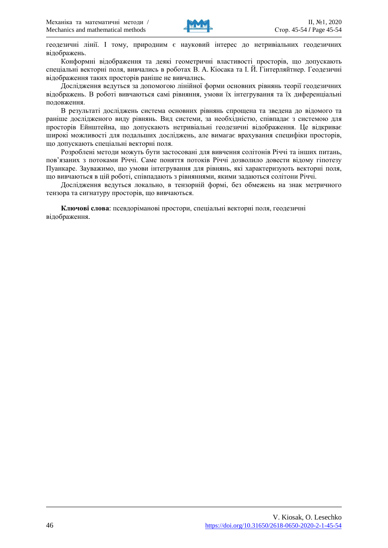

геодезичні лінії. І тому, природним є науковий інтерес до нетривіальних геодезичних відображень.

Конформні відображення та деякі геометричні властивості просторів, що допускають спеціальні векторні поля, вивчались в роботах В. A. Кіосака та І. Й. Гінтерляйтнер. Геодезичні відображення таких просторів раніше не вивчались.

Дослідження ведуться за допомогою лінійної форми основних рівнянь теорії геодезичних відображень. В роботі вивчаються самі рівняння, умови їх інтегрування та їх диференціальні подовження.

В результаті досліджень система основних рівнянь спрощена та зведена до відомого та раніше дослідженого виду рівнянь. Вид системи, за необхідністю, співпадає з системою для просторів Ейнштейна, що допускають нетривіальні геодезичні відображення. Це відкриває широкі можливості для подальших досліджень, але вимагає врахування специфіки просторів, що допускають спеціальні векторні поля.

Розроблені методи можуть бути застосовані для вивчення солітонів Річчі та інших питань, пов'язаних з потоками Річчі. Саме поняття потоків Річчі дозволило довести відому гіпотезу Пуанкаре. Зауважимо, що умови інтегрування для рівнянь, які характеризують векторні поля, що вивчаються в цій роботі, співпадають з рівняннями, якими задаються солітони Річчі.

Дослідження ведуться локально, в тензорній формі, без обмежень на знак метричного тензора та сигнатуру просторів, що вивчаються.

**Ключові слова**: псевдоріманові простори, спеціальні векторні поля, геодезичні відображення.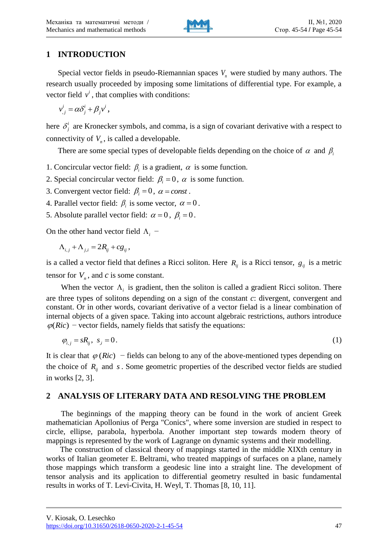

## **1 INTRODUCTION**

Special vector fields in pseudo-Riemannian spaces *Vn* were studied by many authors. The research usually proceeded by imposing some limitations of differential type. For example, a vector field  $v^i$ , that complies with conditions:

,  $v^i_{,j} = \alpha \delta^i_j + \beta_j v^i$ ,

here  $\delta_i^i$  $\delta_j^i$  are Kronecker symbols, and comma, is a sign of covariant derivative with a respect to connectivity of  $V_n$ , is called a developable.

There are some special types of developable fields depending on the choice of  $\alpha$  and  $\beta$ <sub>i</sub>

- 1. Concircular vector field:  $\beta_i$  is a gradient,  $\alpha$  is some function.
- 2. Special concircular vector field:  $\beta_i = 0$ ,  $\alpha$  is some function.
- 3. Convergent vector field:  $\beta_i = 0$ ,  $\alpha = const$ .
- 4. Parallel vector field:  $\beta_i$  is some vector,  $\alpha = 0$ .
- 5. Absolute parallel vector field:  $\alpha = 0$ ,  $\beta_i = 0$ .

On the other hand vector field  $\Lambda_i$  –

$$
\Lambda_{i,j} + \Lambda_{j,i} = 2R_{ij} + cg_{ij},
$$

is a called a vector field that defines a Ricci soliton. Here  $R_{ij}$  is a Ricci tensor,  $g_{ij}$  is a metric tensor for  $V_n$ , and  $c$  is some constant.

When the vector  $\Lambda_i$  is gradient, then the soliton is called a gradient Ricci soliton. There are three types of solitons depending on a sign of the constant *c*: divergent, convergent and constant. Or in other words, covariant derivative of a vector fielad is a linear combination of internal objects of a given space. Taking into account algebraic restrictions, authors introduce  $\varphi(Ric)$  − vector fields, namely fields that satisfy the equations:

$$
\varphi_{i,j} = sR_{ij}, \quad s_{,i} = 0. \tag{1}
$$

It is clear that  $\varphi$  (Ric) – fields can belong to any of the above-mentioned types depending on the choice of  $R_{ij}$  and  $s$ . Some geometric properties of the described vector fields are studied in works [2, 3].

## **2 ANALYSIS OF LITERARY DATA AND RESOLVING THE PROBLEM**

The beginnings of the mapping theory can be found in the work of ancient Greek mathematician Apollonius of Perga "Conics", where some inversion are studied in respect to circle, ellipse, parabola, hyperbola. Another important step towards modern theory of mappings is represented by the work of Lagrange on dynamic systems and their modelling.

The construction of classical theory of mappings started in the middle XIXth century in works of Italian geometer E. Beltrami, who treated mappings of surfaces on a plane, namely those mappings which transform a geodesic line into a straight line. The development of tensor analysis and its application to differential geometry resulted in basic fundamental results in works of T. Levi-Civita, H. Weyl, T. Thomas [8, 10, 11].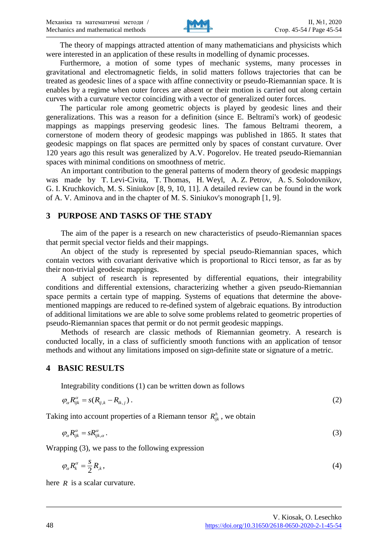

The theory of mappings attracted attention of many mathematicians and physicists which were interested in an application of these results in modelling of dynamic processes.

Furthermore, a motion of some types of mechanic systems, many processes in gravitational and electromagnetic fields, in solid matters follows trajectories that can be treated as geodesic lines of a space with affine connectivity or pseudo-Riemannian space. It is enables by a regime when outer forces are absent or their motion is carried out along certain curves with a curvature vector coinciding with a vector of generalized outer forces.

The particular role among geometric objects is played by geodesic lines and their generalizations. This was a reason for a definition (since E. Beltrami's work) of geodesic mappings as mappings preserving geodesic lines. The famous Beltrami theorem, a cornerstone of modern theory of geodesic mappings was published in 1865. It states that geodesic mappings on flat spaces are permitted only by spaces of constant curvature. Over 120 years ago this result was generalized by A.V. Pogorelov. He treated pseudo-Riemannian spaces with minimal conditions on smoothness of metric.

An important contribution to the general patterns of modern theory of geodesic mappings was made by T. Levi-Civita, T. Thomas, H. Weyl, A. Z. Petrov, A. S. Solodovnikov, G. I. Kruchkovich, M. S. Siniukov [8, 9, 10, 11]. A detailed review can be found in the work of A. V. Aminova and in the chapter of M. S. Siniukov's monograph [1, 9].

#### **3 PURPOSE AND TASKS OF THE STADY**

The aim of the paper is a research on new characteristics of pseudo-Riemannian spaces that permit special vector fields and their mappings.

An object of the study is represented by special pseudo-Riemannian spaces, which contain vectors with covariant derivative which is proportional to Ricci tensor, as far as by their non-trivial geodesic mappings.

A subject of research is represented by differential equations, their integrability conditions and differential extensions, characterizing whether a given pseudo-Riemannian space permits a certain type of mapping. Systems of equations that determine the abovementioned mappings are reduced to re-defined system of algebraic equations. By introduction of additional limitations we are able to solve some problems related to geometric properties of pseudo-Riemannian spaces that permit or do not permit geodesic mappings.

Methods of research are classic methods of Riemannian geometry. A research is conducted locally, in a class of sufficiently smooth functions with an application of tensor methods and without any limitations imposed on sign-definite state or signature of a metric.

#### **4 BASIC RESULTS**

Integrability conditions (1) can be written down as follows

$$
\varphi_{\alpha} R^{\alpha}_{ijk} = s(R_{ij,k} - R_{ik,j}) \,. \tag{2}
$$

Taking into account properties of a Riemann tensor  $R_{ijk}^h$ , we obtain

$$
\varphi_{\alpha} R^{\alpha}_{ijk} = s R^{\alpha}_{ijk,\alpha} \,. \tag{3}
$$

Wrapping (3), we pass to the following expression

$$
\varphi_{\alpha} R_k^{\alpha} = \frac{s}{2} R_k, \qquad (4)
$$

here *R* is a scalar curvature.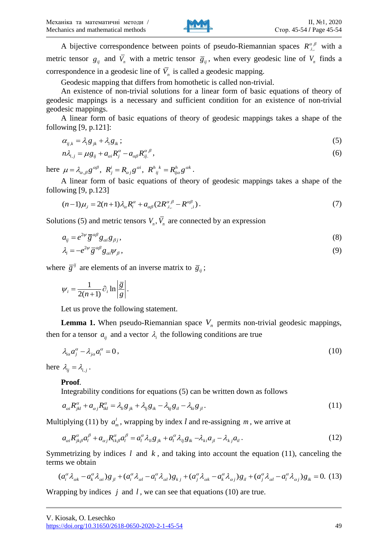

A bijective correspondence between points of pseudo-Riemannian spaces  $R_{i}^{\alpha\beta}$  with a metric tensor  $g_{ij}$  and  $\bar{V}_n$  with a metric tensor  $\bar{g}_{ij}$ , when every geodesic line of  $V_n$  finds a correspondence in a geodesic line of  $\overline{V}_n$  is called a geodesic mapping.

Geodesic mapping that differs from homothetic is called non-trivial.

An existence of non-trivial solutions for a linear form of basic equations of theory of geodesic mappings is a necessary and sufficient condition for an existence of non-trivial geodesic mappings.

A linear form of basic equations of theory of geodesic mappings takes a shape of the following [9, p.121]:

$$
\alpha_{ij,k} = \lambda_i g_{jk} + \lambda_i g_{ik};\tag{5}
$$

$$
m\lambda_{i,j} = \mu g_{ij} + a_{\alpha i} R_j^{\alpha} - a_{\alpha \beta} R_{ij}^{\alpha \beta},
$$
\n(6)

 $h\alpha_{i,j} - \mu g_{ij} + a_{\alpha i}K_j - a_{\alpha\beta}K_{ij}$ ,  $h$ ,<br>
here  $\mu = \lambda_{\alpha,\beta}g^{\alpha\beta}$ ,  $R_j^i = R_{\alpha j}g^{\alpha i}$ ,  $R_{ij}^{h,k} = R_{ij\alpha}^h g^{\alpha k}$ .

A linear form of basic equations of theory of geodesic mappings takes a shape of the following [9, p.123]

wing [9, p.123]  
\n
$$
(n-1)\mu_{,i} = 2(n+1)\lambda_{\alpha}R_i^{\alpha} + a_{\alpha\beta}(2R_{i,..}^{\alpha\beta} - R_{i,i}^{\alpha\beta}).
$$
\n(7)

Solutions (5) and metric tensors  $V_n$ ,  $V_n$  are connected by an expression

$$
a_{ij} = e^{2\psi} \overline{g}^{\alpha\beta} g_{\alpha i} g_{\beta j},\tag{8}
$$

$$
\lambda_i = -e^{2\psi} \overline{g}^{a\beta} g_{ai} \psi_\beta, \tag{9}
$$

where  $\overline{g}^{ij}$  are elements of an inverse matrix to  $\overline{g}_{ij}$ ;

$$
\psi_i = \frac{1}{2(n+1)} \partial_i \ln \left| \frac{\overline{g}}{g} \right|.
$$

Let us prove the following statement.

**Lemma 1.** When pseudo-Riemannian space  $V_n$  permits non-trivial geodesic mappings, then for a tensor  $a_{ij}$  and a vector  $\lambda_i$  the following conditions are true

$$
\lambda_{i\alpha}a_j^{\alpha} - \lambda_{j\alpha}a_i^{\alpha} = 0, \qquad (10)
$$

here  $\lambda_{ij} = \lambda_{i,j}$ .

#### **Proof***.*

Integrability conditions for equations (5) can be written down as follows  
\n
$$
a_{\alpha i} R_{jkl}^{\alpha} + a_{\alpha j} R_{ik}^{\alpha} = \lambda_{li} g_{jk} + \lambda_{lj} g_{ik} - \lambda_{kj} g_{il} - \lambda_{ki} g_{jl}.
$$
\n(11)

Multiplying (11) by 
$$
a_m^l
$$
, wrapping by index *l* and re-assigning *m*, we arrive at  
\n
$$
a_{\alpha i} R_{jk\beta}^{\alpha} a_l^{\beta} + a_{\alpha j} R_{ik\beta}^{\alpha} a_l^{\beta} = a_l^{\alpha} \lambda_{li} g_{jk} + a_l^{\alpha} \lambda_{lj} g_{ik} - \lambda_{ki} a_{jl} - \lambda_{kj} a_{il}.
$$
\n(12)

Symmetrizing by indices  $l$  and  $k$ , and taking into account the equation (11), canceling the terms we obtain the equation (11), canceling the<br>
intertizing by indices *l* and *k*, and taking into account the equation (11), canceling the<br>
is we obtain<br>  $(a_i^{\alpha} \lambda_{\alpha k} - a_k^{\alpha} \lambda_{\alpha i}) g_{ji} + (a_i^{\alpha} \lambda_{\alpha l} - a_l^{\alpha} \lambda_{\alpha l}) g_{kj} + (a_j^{\alpha} \lambda_{\alpha k$ 

$$
(a_i^{\alpha}\lambda_{\alpha k} - a_k^{\alpha}\lambda_{\alpha i})g_{jl} + (a_i^{\alpha}\lambda_{\alpha l} - a_l^{\alpha}\lambda_{\alpha l})g_{kj} + (a_j^{\alpha}\lambda_{\alpha k} - a_k^{\alpha}\lambda_{\alpha j})g_{il} + (a_j^{\alpha}\lambda_{\alpha l} - a_l^{\alpha}\lambda_{\alpha j})g_{ik} = 0.
$$
 (13)

Wrapping by indices  $j$  and  $l$ , we can see that equations (10) are true.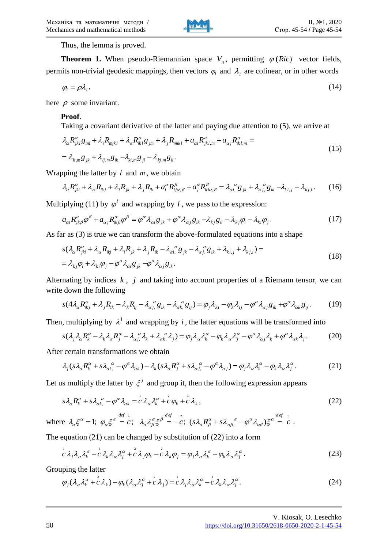

Thus, the lemma is proved.

**Theorem 1.** When pseudo-Riemannian space  $V_n$ , permitting  $\varphi$  (*Ric*) vector fields, permits non-trivial geodesic mappings, then vectors  $\varphi_i$  and  $\lambda_i$  are colinear, or in other words

$$
\varphi_i = \rho \lambda_i, \tag{14}
$$

here  $\rho$  some invariant.

#### **Proof**.

Taking a covariant derivative of the latter and paying due attention to (5), we arrive at

**Proof.**  
\nTaking a covariant derivative of the latter and paying due attention to (5), we arrive at  
\n
$$
\lambda_{\alpha} R_{jkl}^{\alpha} g_{im} + \lambda_i R_{mjkl} + \lambda_{\alpha} R_{ikl}^{\alpha} g_{jm} + \lambda_j R_{mikl} + a_{\alpha i} R_{jkl,m}^{\alpha} + a_{\alpha j} R_{ikl,m}^{\alpha} =
$$
\n
$$
= \lambda_{li,m} g_{jk} + \lambda_{lj,m} g_{ik} - \lambda_{ki,m} g_{jl} - \lambda_{kj,m} g_{il}.
$$
\n(15)

Wrapping the latter by  $l$  and  $m$ , we obtain

$$
= \lambda_{li,m} g_{jk} + \lambda_{lj,m} g_{ik} - \lambda_{ki,m} g_{jl} - \lambda_{kj,m} g_{il}.
$$
  
pping the latter by *l* and *m*, we obtain  

$$
\lambda_{\alpha} R^{\alpha}_{jki} + \lambda_{\alpha} R_{ikj} + \lambda_{i} R_{jk} + \lambda_{j} R_{ik} + a^{\alpha}_{i} R^{\beta}_{kja,\beta} + a^{\alpha}_{j} R^{\beta}_{kia,\beta} = \lambda_{\alpha i}^{\ \alpha} g_{jk} + \lambda_{\alpha j}^{\ \alpha} g_{ik} - \lambda_{k i,j} - \lambda_{k j,i}.
$$
 (16)

Multiplying (11) by  $\varphi^l$  and wrapping by l, we pass to the expression:

iplying (11) by 
$$
\varphi^l
$$
 and wrapping by  $l$ , we pass to the expression:  
\n
$$
a_{\alpha i} R_{jk\beta}^{\alpha} \varphi^{\beta} + a_{\alpha j} R_{ik\beta}^{\alpha} \varphi^{\beta} = \varphi^{\alpha} \lambda_{\alpha i} g_{jk} + \varphi^{\alpha} \lambda_{\alpha j} g_{ik} - \lambda_{kj} g_{il} - \lambda_{kj} \varphi_i - \lambda_{ki} \varphi_j.
$$
\n(17)

As far as (3) is true we can transform the above-formulated equations into a shape (b) is true we can transform the above-formular<br> $\alpha_{u}^{\alpha} + \lambda R_{u} + \lambda R_{u} + \lambda R_{u} - \lambda \alpha_{g}^{\alpha} g_{u} - \lambda \alpha_{g}^{\alpha} g_{u} + \lambda R_{u} + \lambda R_{u} + \lambda R_{u} + \lambda R_{u} + \lambda R_{u} + \lambda R_{u} + \lambda R_{u} + \lambda R_{u} + \lambda R_{u} + \lambda R_{u} + \lambda R_{u} + \lambda R_{u} + \lambda R_{u} + \lambda R_{u} + \lambda R_{u} + \lambda R_{$ 

$$
\text{ar as (3) is true we can transform the above-formulated equations into a shape}
$$
\n
$$
s(\lambda_{\alpha}R_{jki}^{\alpha} + \lambda_{\alpha}R_{ikj} + \lambda_{i}R_{jk} + \lambda_{j}R_{ik} - \lambda_{\alpha i}^{\alpha}g_{jk} - \lambda_{\alpha j}^{\alpha}g_{ik} + \lambda_{k i,j} + \lambda_{k j,i}) =
$$
\n
$$
= \lambda_{kj}\varphi_{i} + \lambda_{ki}\varphi_{j} - \varphi^{\alpha}\lambda_{\alpha i}g_{jk} - \varphi^{\alpha}\lambda_{\alpha j}g_{ik}.
$$
\n(18)

Alternating by indices  $k$ ,  $j$  and taking into account properties of a Riemann tensor, we can write down the following<br>  $s(4\lambda_{\alpha}R_{ikj}^{\alpha} + \lambda_j R_{ik} - \lambda_k R_{ij} - \lambda_{\alpha j}^{\alpha} g_{ik} + \lambda_{\alpha k}^{\alpha} g_{ij}) = \varphi_j \lambda_{ki} - \varphi_k \lambda_{ij} - \varphi^{\alpha} \lambda_{\alpha$ write down the following

down the following  
\n
$$
s(4\lambda_{\alpha}R_{ikj}^{\alpha} + \lambda_j R_{ik} - \lambda_k R_{ij} - \lambda_{\alpha j}^{\alpha} g_{ik} + \lambda_{\alpha k}^{\alpha} g_{ij}) = \varphi_j \lambda_{ki} - \varphi_k \lambda_{ij} - \varphi^{\alpha} \lambda_{\alpha j} g_{ik} + \varphi^{\alpha} \lambda_{\alpha k} g_{ij}.
$$
\n(19)

$$
s(4\lambda_{\alpha}R_{ik,j}^* + \lambda_j R_{ik} - \lambda_k R_{ij} - \lambda_{\alpha j}^* g_{ik} + \lambda_{\alpha k}^* g_{ij}) = \varphi_j \lambda_{ki} - \varphi_k \lambda_{ij} - \varphi^* \lambda_{\alpha j} g_{ik} + \varphi^* \lambda_{\alpha k} g_{ij}.
$$
 (19)  
Then, multiplying by  $\lambda^i$  and wrapping by *i*, the latter equations will be transformed into  

$$
s(\lambda_j \lambda_{\alpha} R_k^{\alpha} - \lambda_k \lambda_{\alpha} R_j^{\alpha} - \lambda_{\alpha j}^* \lambda_k + \lambda_{\alpha k}^* \lambda_j) = \varphi_j \lambda_{\alpha} \lambda_k^{\alpha} - \varphi_k \lambda_{\alpha} \lambda_j^{\alpha} - \varphi^{\alpha} \lambda_{\alpha j} \lambda_k + \varphi^{\alpha} \lambda_{\alpha k} \lambda_j.
$$
 (20)

After certain transformations we obtain

$$
s(\lambda_j \lambda_\alpha R_k^\alpha - \lambda_k \lambda_\alpha R_j^\alpha - \lambda_{\alpha j}^\alpha \lambda_k + \lambda_{\alpha k}^\alpha \lambda_j) = \varphi_j \lambda_\alpha \lambda_k^\alpha - \varphi_k \lambda_\alpha \lambda_j^\alpha - \varphi^\alpha \lambda_{\alpha j} \lambda_k + \varphi^\alpha \lambda_{\alpha k} \lambda_j. \tag{20}
$$
  
: certain transformations we obtain  

$$
\lambda_j (s \lambda_\alpha R_k^\alpha + s \lambda_{\alpha k}^\alpha - \varphi^\alpha \lambda_{\alpha k}) - \lambda_k (s \lambda_\alpha R_j^\alpha + s \lambda_{\alpha j}^\alpha - \varphi^\alpha \lambda_{\alpha j}) = \varphi_j \lambda_\alpha \lambda_k^\alpha - \varphi_k \lambda_\alpha \lambda_j^\alpha. \tag{21}
$$

Let us multiply the latter by  $\xi^j$  and group it, then the following expression appears

$$
s\lambda_{\alpha}R_{k}^{\alpha} + s\lambda_{\alpha k}^{\alpha} - \varphi^{\alpha}\lambda_{\alpha k} = c\lambda_{\alpha}\lambda_{k}^{\alpha} + c\varphi_{k} + c\lambda_{k},
$$
\n
$$
s\lambda_{\alpha}R_{k}^{\alpha} + s\lambda_{\alpha k}^{\alpha} - \varphi^{\alpha}\lambda_{\alpha k} = c\lambda_{\alpha}\lambda_{\alpha}^{\alpha} + c\varphi_{k} + c\lambda_{k},
$$
\n
$$
s\lambda_{\alpha}\xi^{\alpha} = 1; \ \varphi_{\alpha}\xi^{\alpha} = c; \ \lambda_{\alpha}\lambda_{\beta}^{\alpha}\xi^{\beta} = -c; \ (s\lambda_{\alpha}R_{\beta}^{\alpha} + s\lambda_{\alpha\beta}^{\alpha} - \varphi^{\alpha}\lambda_{\alpha\beta})\xi^{\alpha} = c.
$$
\n
$$
(22)
$$

where  $\lambda_{\alpha} \xi^{\alpha} = 1$ ;  $\varphi_{\alpha} \xi^{\alpha} = c$ ;  $\lambda_{\alpha} \lambda_{\beta}^{\alpha} \xi^{\beta} = -c$ ;  $(s\lambda_{\alpha} R_{\beta}^{\alpha} + s\lambda_{\alpha\beta}^{\alpha} - \varphi^{\alpha} \lambda_{\alpha\beta}) \xi^{\alpha} = c$ , 1  $\begin{aligned} &\delta\lambda_{\alpha k}^{\ \alpha}-\varphi^{\alpha}\lambda_{\alpha k}=\stackrel{\scriptscriptstyle1}{c}\lambda_{\alpha}\lambda_{k}^{\alpha}+\stackrel{\scriptscriptstyle2}{c}\varphi_{k}+\stackrel{\scriptscriptstyle3}{c}\lambda_{k},\\ &1;\;\varphi_{\alpha}\xi^{\alpha}=c\,;\;\;\lambda_{\alpha}\lambda_{\beta}^{\alpha}\xi^{\beta}=-\stackrel{\scriptscriptstyle2}{c};\;\;(s\lambda_{\alpha}R_{\beta}^{\alpha}+s\lambda_{\alpha\beta}^{\ \alpha}-\varphi^{\alpha}\lambda_{\alpha\beta}) \end{aligned}$ 

The equation (21) can be changed by substitution of (22) into a form

equation (21) can be changed by substitution of (22) into a form  
\n
$$
c^{\dagger} \lambda_j \lambda_\alpha \lambda_k^{\alpha} - c^{\dagger} \lambda_k \lambda_\alpha \lambda_j^{\alpha} + c^{\dagger} \lambda_j \varphi_k - c^{\dagger} \lambda_k \varphi_j = \varphi_j \lambda_\alpha \lambda_k^{\alpha} - \varphi_k \lambda_\alpha \lambda_j^{\alpha}.
$$
\n(23)

Grouping the latter

\n (24)\n 
$$
\varphi_j(\lambda_\alpha \lambda_k^\alpha + \vec{c} \lambda_k) - \varphi_k(\lambda_\alpha \lambda_j^\alpha + \vec{c} \lambda_j) = \vec{c} \lambda_j \lambda_\alpha \lambda_k^\alpha - \vec{c} \lambda_k \lambda_\alpha \lambda_j^\alpha.
$$
\n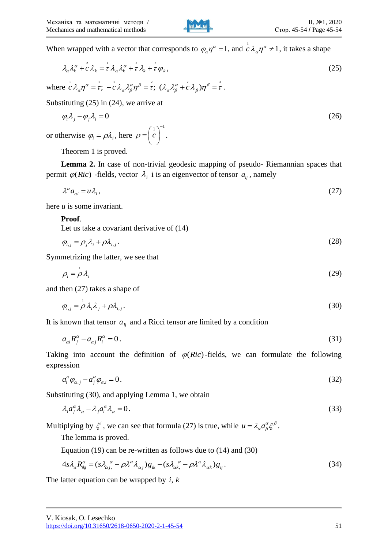

When wrapped with a vector that corresponds to  $\varphi_{\alpha} \eta^{\alpha} = 1$ , and  $\int_{c}^{1} \lambda_{\alpha} \eta^{\alpha} \neq 1$ , it takes a shape

$$
\lambda_{\alpha} \lambda_{k}^{\alpha} + c^2 \lambda_{k} = \frac{1}{\tau} \lambda_{\alpha} \lambda_{k}^{\alpha} + \frac{1}{\tau} \lambda_{k} + \frac{1}{\tau} \varphi_{k},
$$
\n(25)

where  $\frac{1}{1}$  1  $\alpha$   $\frac{1}{1}$  1  $\alpha$  2  $\alpha$   $\beta$   $\frac{2}{1}$   $\alpha$  2  $\alpha$   $\frac{2}{1}$   $\alpha$   $\frac{3}{1}$   $\frac{3}{1}$  $\begin{split} &\lambda_k^+ + c\, \lambda_k = \tau\, \lambda_\alpha \lambda_k^+ + \tau\, \lambda_k + \tau\, \varphi_k \,, \ &\frac{1}{c}\, \lambda_\alpha \eta^\alpha = \stackrel{\scriptscriptstyle \perp}{\tau}; \,\, -\stackrel{\scriptscriptstyle \perp}{c}\, \lambda_\alpha \lambda_\beta^\alpha \eta^\beta = \stackrel{\scriptscriptstyle \perp}{\tau}; \,\, (\lambda_\alpha \lambda_\beta^\alpha + \stackrel{\scriptscriptstyle \circ}{c}\, \lambda_\beta) \eta^\beta = \stackrel{\scriptscriptstyle \circ}{\tau} \,. \end{split}$ 

Substituting (25) in (24), we arrive at

$$
\varphi_i \lambda_j - \varphi_j \lambda_i = 0 \tag{26}
$$

or otherwise  $\varphi_i = \rho \lambda_i$ , here  $\rho = \left(\begin{array}{c} 1 \\ c \end{array}\right)^{-1}$  $=\left(\begin{array}{c}1\\c\end{array}\right)^{-1}.$ 

Theorem 1 is proved.

**Lemma 2.** In case of non-trivial geodesic mapping of pseudo- Riemannian spaces that permit  $\varphi(Ric)$  -fields, vector  $\lambda_i$  i is an eigenvector of tensor  $a_{ij}$ , namely

$$
\lambda^{\alpha} a_{\alpha i} = u \lambda_i, \qquad (27)
$$

here *u* is some invariant.

**Proof**.

Let us take a covariant derivative of (14)

$$
\varphi_{i,j} = \rho_j \lambda_i + \rho \lambda_{i,j} \,. \tag{28}
$$

Symmetrizing the latter, we see that

$$
\rho_i = \rho \lambda_i \tag{29}
$$

and then (27) takes a shape of

$$
\varphi_{i,j} = \rho \lambda_i \lambda_j + \rho \lambda_{i,j}.
$$
\n(30)

It is known that tensor  $a_{ij}$  and a Ricci tensor are limited by a condition

$$
a_{\alpha i} R_j^{\alpha} - a_{\alpha j} R_i^{\alpha} = 0. \tag{31}
$$

Taking into account the definition of  $\varphi(Ric)$ -fields, we can formulate the following expression

$$
a_i^{\alpha} \varphi_{\alpha,j} - a_j^{\alpha} \varphi_{\alpha,i} = 0. \tag{32}
$$

Substituting (30), and applying Lemma 1, we obtain

$$
\lambda_i a_j^{\alpha} \lambda_{\alpha} - \lambda_j a_i^{\alpha} \lambda_{\alpha} = 0. \tag{33}
$$

Multiplying by  $\xi^i$ , we can see that formula (27) is true, while  $u = \lambda_\alpha a_\beta^\alpha \xi^\beta$ .

The lemma is proved.

Equation (19) can be re-written as follows due to (14) and (30)  
\n
$$
4s\lambda_{\alpha}R_{ikj}^{\alpha} = (s\lambda_{\alpha j}^{\ \alpha} - \rho\lambda^{\alpha}\lambda_{\alpha j})g_{ik} - (s\lambda_{\alpha k}^{\ \alpha} - \rho\lambda^{\alpha}\lambda_{\alpha k})g_{ij}.
$$
\n(34)

The latter equation can be wrapped by  $i, k$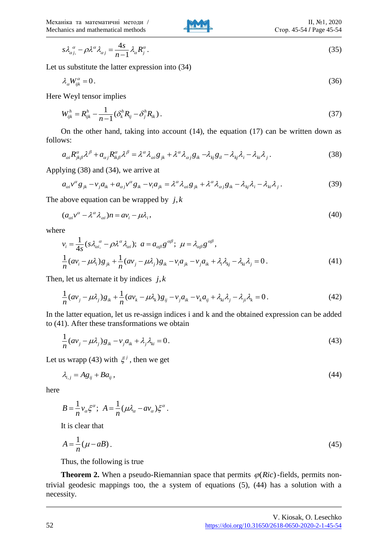

$$
s\lambda_{\alpha j,}^{\alpha} - \rho \lambda^{\alpha} \lambda_{\alpha j} = \frac{4s}{n-1} \lambda_{\alpha} R_j^{\alpha}.
$$
 (35)

Let us substitute the latter expression into (34)

$$
\lambda_a W_{ijk}^{\alpha} = 0. \tag{36}
$$

Here Weyl tensor implies

$$
W_{ijk}^h = R_{ijk}^h - \frac{1}{n-1} (\delta_k^h R_{ij} - \delta_j^h R_{ik}).
$$
\n(37)

On the other hand, taking into account (14), the equation (17) can be written down as ws:<br>  $a_{\alpha i}R_{jk\beta}^{\alpha} \lambda^{\beta} + a_{\alpha j}R_{ik\beta}^{\alpha} \lambda^{\beta} = \lambda^{\alpha} \lambda_{\alpha i}g_{jk} + \lambda^{\alpha} \lambda_{\alpha j}g_{ik} - \lambda_{kj}g_{il} - \lambda_{kj}\lambda_i - \lambda_{ki}\lambda_j.$  (38) follows:

$$
a_{\alpha i} R^{\alpha}_{jk\beta} \lambda^{\beta} + a_{\alpha j} R^{\alpha}_{ik\beta} \lambda^{\beta} = \lambda^{\alpha} \lambda_{\alpha i} g_{jk} + \lambda^{\alpha} \lambda_{\alpha j} g_{ik} - \lambda_{kj} g_{il} - \lambda_{kj} \lambda_i - \lambda_{ki} \lambda_j.
$$
 (38)

$$
a_{\alpha i} \kappa_{jk} \kappa + a_{\alpha j} \kappa_{ik} \kappa = \kappa \kappa_{\alpha i} g_{jk} + \kappa \kappa_{\alpha j} g_{ik} - \kappa_{kj} g_{il} - \kappa_{ki} \kappa_j.
$$
\n
$$
\text{Applying (38) and (34), we arrive at}
$$
\n
$$
a_{\alpha i} v^{\alpha} g_{jk} - v_j a_{ik} + a_{\alpha j} v^{\alpha} g_{ik} - v_i a_{jk} = \lambda^{\alpha} \lambda_{\alpha i} g_{jk} + \lambda^{\alpha} \lambda_{\alpha j} g_{ik} - \lambda_{kj} \lambda_i - \lambda_{ki} \lambda_j.
$$
\n
$$
(39)
$$

The above equation can be wrapped by  $j, k$ 

$$
(a_{\alpha i}v^{\alpha} - \lambda^{\alpha}\lambda_{\alpha i})n = av_i - \mu\lambda_i,
$$
\n(40)

where

e  
\n
$$
v_i = \frac{1}{4s} (s \lambda_{ai}^{\ \alpha} - \rho \lambda^{\alpha} \lambda_{ai}); \ a = a_{\alpha\beta} g^{\alpha\beta}; \ \mu = \lambda_{\alpha\beta} g^{\alpha\beta},
$$
\n
$$
\frac{1}{n} (\alpha v_i - \mu \lambda_i) g_{jk} + \frac{1}{n} (\alpha v_j - \mu \lambda_j) g_{ik} - v_i a_{jk} - v_j a_{ik} + \lambda_i \lambda_{kj} - \lambda_{ki} \lambda_j = 0.
$$
\n(41)

Then, let us alternate it by indices 
$$
j, k
$$
  
\n
$$
\frac{1}{n} (a v_j - \mu \lambda_j) g_{ik} + \frac{1}{n} (a v_k - \mu \lambda_k) g_{ij} - v_j a_{ik} - v_k a_{ij} + \lambda_{ki} \lambda_j - \lambda_{ji} \lambda_k = 0.
$$
\n(42)

In the latter equation, let us re-assign indices i and k and the obtained expression can be added to (41). After these transformations we obtain

$$
\frac{1}{n}(av_j - \mu \lambda_j)g_{ik} - v_j a_{ik} + \lambda_j \lambda_{ki} = 0.
$$
\n(43)

Let us wrapp (43) with  $\xi^j$ , then we get

$$
\lambda_{i,j} = A g_{ij} + B a_{ij},\tag{44}
$$

here

$$
B = \frac{1}{n} v_{\alpha} \xi^{\alpha}; \ \ A = \frac{1}{n} (\mu \lambda_{\alpha} - a v_{\alpha}) \xi^{\alpha}.
$$

It is clear that

$$
A = \frac{1}{n}(\mu - aB). \tag{45}
$$

Thus, the following is true

**Theorem 2.** When a pseudo-Riemannian space that permits  $\varphi(Ric)$ -fields, permits nontrivial geodesic mappings too, the a system of equations (5), (44) has a solution with a necessity.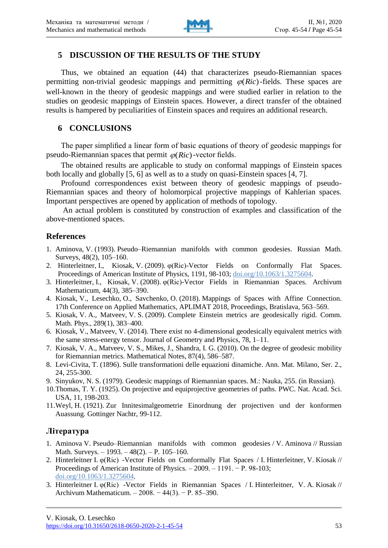

### **5 DISCUSSION OF THE RESULTS OF THE STUDY**

Thus, we obtained an equation (44) that characterizes pseudo-Riemannian spaces permitting non-trivial geodesic mappings and permitting  $\varphi(Ric)$ -fields. These spaces are well-known in the theory of geodesic mappings and were studied earlier in relation to the studies on geodesic mappings of Einstein spaces. However, a direct transfer of the obtained results is hampered by peculiarities of Einstein spaces and requires an additional research.

#### **6 CONCLUSIONS**

The paper simplified a linear form of basic equations of theory of geodesic mappings for pseudo-Riemannian spaces that permit  $\varphi(Ric)$ -vector fields.

The obtained results are applicable to study on conformal mappings of Einstein spaces both locally and globally [5, 6] as well as to a study on quasi-Einstein spaces [4, 7].

Profound correspondences exist between theory of geodesic mappings of pseudo-Riemannian spaces and theory of holomorpical projective mappings of Kahlerian spaces. Important perspectives are opened by application of methods of topology.

An actual problem is constituted by construction of examples and classification of the above-mentioned spaces.

#### **References**

- 1. Aminova, V. (1993). Pseudo–Riemannian manifolds with common geodesies. Russian Math. Surveys, 48(2), 105–160.
- 2. Hinterleitner, I., Kiosak, V. (2009). φ(Ric)-Vector Fields on Conformally Flat Spaces. Proceedings of American Institute of Physics, 1191, 98-103; doi.org/10.1063/1.3275604.
- 3. Hinterleitner, I., Kiosak, V. (2008). φ(Ric)-Vector Fields in Riemannian Spaces. Archivum Mathematicum, 44(3), 385–390.
- 4. Kiosak, V., Lesechko, O., Savchenko, O. (2018). Mappings of Spaces with Affine Connection. 17th Conference on Applied Mathematics, APLIMAT 2018, Proceedings, Bratislava, 563–569.
- 5. Kiosak, V. A., Matveev, V. S. (2009). Complete Einstein metrics are geodesically rigid. Comm. Math. Phys., 289(1), 383–400.
- 6. Kiosak, V., Matveev, V. (2014). There exist no 4-dimensional geodesically equivalent metrics with the same stress-energy tensor. Journal of Geometry and Physics, 78, 1–11.
- 7. Kiosak, V. A., Matveev, V. S., Mikes, J., Shandra, I. G. (2010). On the degree of geodesic mobility for Riemannian metrics. Mathematical Notes, 87(4), 586–587.
- 8. Levi-Civita, T. (1896). Sulle transformationi delle equazioni dinamiche. Ann. Mat. Milano, Ser. 2., 24, 255-300.
- 9. Sinyukov, N. S. (1979). Geodesic mappings of Riemannian spaces. M.: Nauka, 255. (in Russian).
- 10.Thomas, T. Y. (1925). On projective and equiprojective geometries of paths. PWC. Nat. Acad. Sci. USA, 11, 198-203.
- 11.Weyl, H. (1921). Zur Innitesimalgeometrie Einordnung der projectiven und der konformen Auassung. Gottinger Nachtr, 99-112.

### **Література**

- 1. Aminova V. Pseudo–Riemannian manifolds with common geodesies / V. Aminova // Russian Math. Surveys. – 1993. – 48(2). – P. 105–160.
- 2. Hinterleitner I. φ(Ric) -Vector Fields on Conformally Flat Spaces / I. Hinterleitner, V. Kiosak // Proceedings of American Institute of Physics. – 2009. – 1191. − P. 98-103; doi.org/10.1063/1.3275604.
- 3. Hinterleitner I. φ(Ric) -Vector Fields in Riemannian Spaces / I. Hinterleitner, V. A. Kiosak // Archivum Mathematicum. – 2008. − 44(3). − P. 85–390.